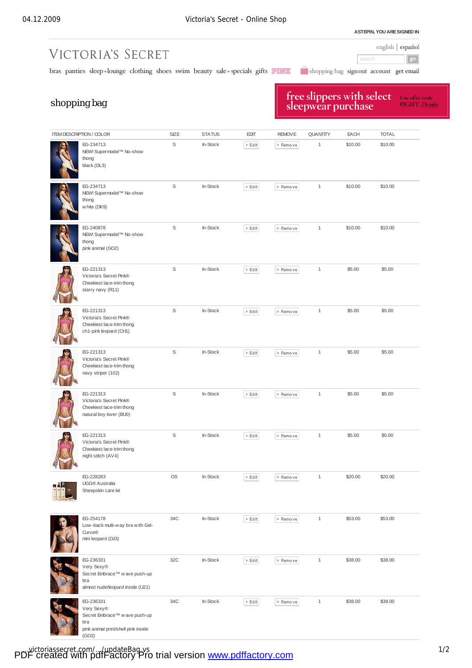**ASTEPIN, YOU ARESIGNED IN**

### english | español

 $g^{\rm o}$ 

bras panties sleep+lounge clothing shoes swim beauty sale+specials gifts PINK and shopping bag signout account get email

Search

# shopping bag

VICTORIA'S SECRET

## free slippers with select<br>sleepwear purchase Use offer code<br>PJGIFT. <u>Details</u>

| <b>ITEM DESCRIPTION / COLOR</b> |                                                                                                                                         | SIZE | <b>STATUS</b> | <b>EDIT</b> | <b>REMOVE</b> | <b>QUANTITY</b> | EACH    | <b>TOTAL</b> |
|---------------------------------|-----------------------------------------------------------------------------------------------------------------------------------------|------|---------------|-------------|---------------|-----------------|---------|--------------|
|                                 | EG-234713<br>NEW! Supermodel™ No-show<br>thong<br>black (DL3)                                                                           | S    | In-Stock      | $>$ Edit    | > Remove      | 1               | \$10.00 | \$10.00      |
|                                 | EG-234713<br>NEW! Supermodel™ No-show<br>thong<br>white (DK9)                                                                           | S    | In-Stock      | $>$ Edit    | > Remove      | $\mathbf{1}$    | \$10.00 | \$10.00      |
|                                 | EG-240878<br>NEW! Supermodel™ No-show<br>thong<br>pink animal (GO2)                                                                     | S    | In-Stock      | $\geq$ Edit | > Remove      | 1               | \$10.00 | \$10.00      |
|                                 | EG-221313<br>Victoria's Secret Pink®<br>Cheekiest lace-trim thong<br>starry navy (R11)                                                  | S    | In-Stock      | $>$ Edit    | $>$ Remove    | $\mathbf{1}$    | \$5.00  | \$5.00       |
|                                 | EG-221313<br>Victoria's Secret Pink®<br>Cheekiest lace-trim thong<br>ch1-pink leopard (CH1)                                             | S    | In-Stock      | $>$ Edit    | > Remove      | $\mathbf{1}$    | \$5.00  | \$5.00       |
|                                 | EG-221313<br>Victoria's Secret Pink®<br>Cheekiest lace-trim thong<br>navy striper (102)                                                 | S    | In-Stock      | $>$ Edit    | > Remove      | 1               | \$5.00  | \$5.00       |
|                                 | EG-221313<br>Victoria's Secret Pink®<br>Cheekiest lace-trim thong<br>natural boy lover (BU0)                                            | S    | In-Stock      | $\geq$ Edit | > Remove      | $\mathbf{1}$    | \$5.00  | \$5.00       |
|                                 | EG-221313<br>Victoria's Secret Pink®<br>Cheekiest lace-trim thong<br>night stitch (AV4)                                                 | S    | In-Stock      | $>$ Edit    | > Remove      | $\mathbf{1}$    | \$5.00  | \$5.00       |
|                                 | EG-228283<br>UGG® Australia<br>Sheepskin care kit                                                                                       | OS   | In-Stock      | $>$ Edit    | > Remove      | $\mathbf{1}$    | \$20.00 | \$20.00      |
|                                 | EG-254178<br>Low-back multi-way bra with Gel-<br>Curve®<br>mini leopard (DJ3)                                                           | 34C  | In-Stock      | $>$ Edit    | > Remove      | 1               | \$53.00 | \$53.00      |
|                                 | EG-236331<br>Very Sexy <sup>®</sup><br>Secret Embrace <sup>™</sup> w ave push-up<br>bra<br>almost nude/leopard inside (U21)             | 32C  | In-Stock      | $>$ Edit    | > Remove      | $\mathbf{1}$    | \$38.00 | \$38.00      |
|                                 | EG-236331<br>Very Sexy <sup>®</sup><br>Secret Embrace <sup>™</sup> w ave push-up<br>bra<br>pink animal print/shell pink inside<br>(GO2) | 34C  | In-Stock      | $>$ Edit    | > Remove      | $\mathbf{1}$    | \$38.00 | \$38.00      |